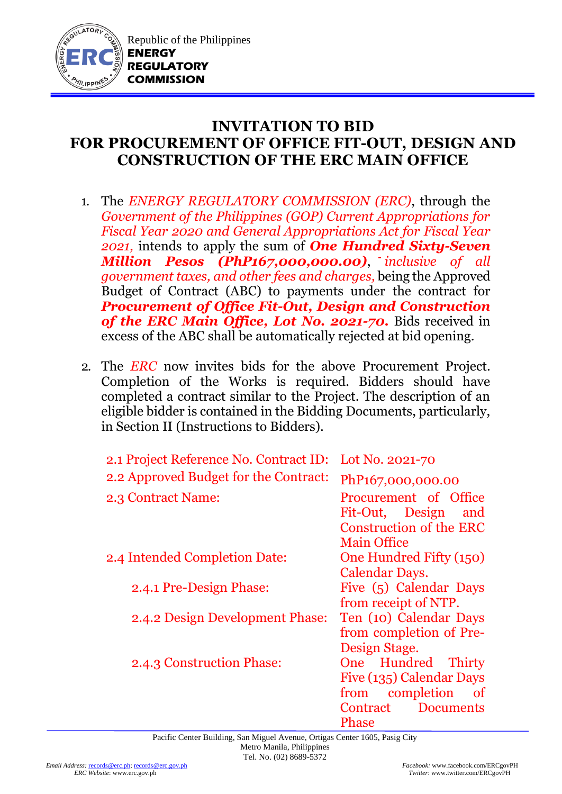

## **INVITATION TO BID FOR PROCUREMENT OF OFFICE FIT-OUT, DESIGN AND CONSTRUCTION OF THE ERC MAIN OFFICE**

- 1. The *ENERGY REGULATORY COMMISSION (ERC)*, through the *Government of the Philippines (GOP) Current Appropriations for Fiscal Year 2020 and General Appropriations Act for Fiscal Year 2021,* intends to apply the sum of *One Hundred Sixty-Seven Million Pesos (PhP167,000,000.00)*, *inclusive of all government taxes, and other fees and charges,* being the Approved Budget of Contract (ABC) to payments under the contract for *Procurement of Office Fit-Out, Design and Construction of the ERC Main Office, Lot No. 2021-70.* Bids received in excess of the ABC shall be automatically rejected at bid opening.
- 2. The *ERC* now invites bids for the above Procurement Project. Completion of the Works is required. Bidders should have completed a contract similar to the Project. The description of an eligible bidder is contained in the Bidding Documents, particularly, in Section II (Instructions to Bidders).

| 2.1 Project Reference No. Contract ID: | Lot No. 2021-70                  |
|----------------------------------------|----------------------------------|
| 2.2 Approved Budget for the Contract:  | PhP <sub>167</sub> ,000,000.00   |
| 2.3 Contract Name:                     | Procurement of Office            |
|                                        | Fit-Out, Design<br>and           |
|                                        | <b>Construction of the ERC</b>   |
|                                        | <b>Main Office</b>               |
| 2.4 Intended Completion Date:          | One Hundred Fifty (150)          |
|                                        | <b>Calendar Days.</b>            |
| 2.4.1 Pre-Design Phase:                | Five (5) Calendar Days           |
|                                        | from receipt of NTP.             |
| 2.4.2 Design Development Phase:        | Ten (10) Calendar Days           |
|                                        | from completion of Pre-          |
|                                        | Design Stage.                    |
| 2.4.3 Construction Phase:              | One Hundred Thirty               |
|                                        | Five (135) Calendar Days         |
|                                        | from completion<br><sub>of</sub> |
|                                        | Contract<br><b>Documents</b>     |
|                                        | Phase                            |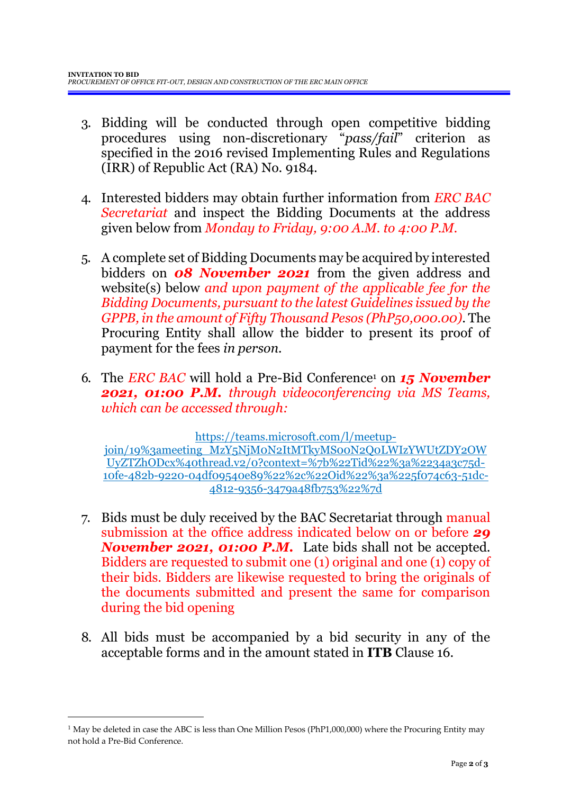- 3. Bidding will be conducted through open competitive bidding procedures using non-discretionary "*pass/fail*" criterion as specified in the 2016 revised Implementing Rules and Regulations (IRR) of Republic Act (RA) No. 9184.
- 4. Interested bidders may obtain further information from *ERC BAC Secretariat* and inspect the Bidding Documents at the address given below from *Monday to Friday, 9:00 A.M. to 4:00 P.M*.
- 5. A complete set of Bidding Documents may be acquired by interested bidders on *08 November 2021* from the given address and website(s) below *and upon payment of the applicable fee for the Bidding Documents, pursuant to the latest Guidelines issued by the GPPB, in the amount of Fifty Thousand Pesos (PhP50,000.00)*. The Procuring Entity shall allow the bidder to present its proof of payment for the fees *in person.*
- 6. The *ERC BAC* will hold a Pre-Bid Conference<sup>1</sup> on *15 November 2021, 01:00 P.M. through videoconferencing via MS Teams, which can be accessed through:*

[https://teams.microsoft.com/l/meetup](https://teams.microsoft.com/l/meetup-join/19%3ameeting_MzY5NjM0N2ItMTkyMS00N2Q0LWIzYWUtZDY2OWUyZTZhODcx%40thread.v2/0?context=%7b%22Tid%22%3a%2234a3c75d-10fe-482b-9220-04df09540e89%22%2c%22Oid%22%3a%225f074c63-51dc-4812-9356-3479a48fb753%22%7d)[join/19%3ameeting\\_MzY5NjM0N2ItMTkyMS00N2Q0LWIzYWUtZDY2OW](https://teams.microsoft.com/l/meetup-join/19%3ameeting_MzY5NjM0N2ItMTkyMS00N2Q0LWIzYWUtZDY2OWUyZTZhODcx%40thread.v2/0?context=%7b%22Tid%22%3a%2234a3c75d-10fe-482b-9220-04df09540e89%22%2c%22Oid%22%3a%225f074c63-51dc-4812-9356-3479a48fb753%22%7d) [UyZTZhODcx%40thread.v2/0?context=%7b%22Tid%22%3a%2234a3c75d-](https://teams.microsoft.com/l/meetup-join/19%3ameeting_MzY5NjM0N2ItMTkyMS00N2Q0LWIzYWUtZDY2OWUyZTZhODcx%40thread.v2/0?context=%7b%22Tid%22%3a%2234a3c75d-10fe-482b-9220-04df09540e89%22%2c%22Oid%22%3a%225f074c63-51dc-4812-9356-3479a48fb753%22%7d)[10fe-482b-9220-04df09540e89%22%2c%22Oid%22%3a%225f074c63-51dc-](https://teams.microsoft.com/l/meetup-join/19%3ameeting_MzY5NjM0N2ItMTkyMS00N2Q0LWIzYWUtZDY2OWUyZTZhODcx%40thread.v2/0?context=%7b%22Tid%22%3a%2234a3c75d-10fe-482b-9220-04df09540e89%22%2c%22Oid%22%3a%225f074c63-51dc-4812-9356-3479a48fb753%22%7d)[4812-9356-3479a48fb753%22%7d](https://teams.microsoft.com/l/meetup-join/19%3ameeting_MzY5NjM0N2ItMTkyMS00N2Q0LWIzYWUtZDY2OWUyZTZhODcx%40thread.v2/0?context=%7b%22Tid%22%3a%2234a3c75d-10fe-482b-9220-04df09540e89%22%2c%22Oid%22%3a%225f074c63-51dc-4812-9356-3479a48fb753%22%7d)

- 7. Bids must be duly received by the BAC Secretariat through manual submission at the office address indicated below on or before *29 November 2021, 01:00 P.M.* Late bids shall not be accepted. Bidders are requested to submit one (1) original and one (1) copy of their bids. Bidders are likewise requested to bring the originals of the documents submitted and present the same for comparison during the bid opening
- 8. All bids must be accompanied by a bid security in any of the acceptable forms and in the amount stated in **ITB** Clause 16.

<sup>1</sup> May be deleted in case the ABC is less than One Million Pesos (PhP1,000,000) where the Procuring Entity may not hold a Pre-Bid Conference.